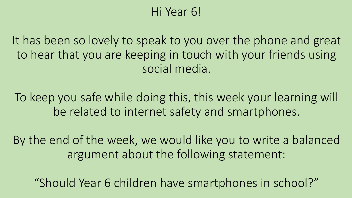# Hi Year 6!

It has been so lovely to speak to you over the phone and great to hear that you are keeping in touch with your friends using social media.

To keep you safe while doing this, this week your learning will be related to internet safety and smartphones.

By the end of the week, we would like you to write a balanced argument about the following statement:

"Should Year 6 children have smartphones in school?"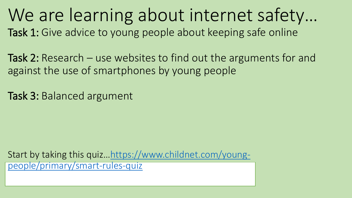We are learning about internet safety… Task 1: Give advice to young people about keeping safe online

Task 2: Research – use websites to find out the arguments for and against the use of smartphones by young people

Task 3: Balanced argument

Start by taking this quiz…[https://www.childnet.com/young](https://www.childnet.com/young-people/primary/smart-rules-quiz)people/primary/smart-rules-quiz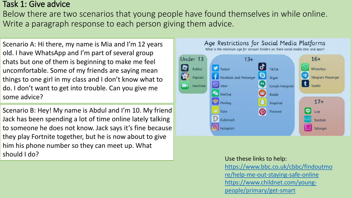### Task 1: Give advice

Below there are two scenarios that young people have found themselves in while online. Write a paragraph response to each person giving them advice.

Scenario A: Hi there, my name is Mia and I'm 12 years old. I have WhatsApp and I'm part of several group chats but one of them is beginning to make me feel uncomfortable. Some of my friends are saying mean things to one girl in my class and I don't know what to do. I don't want to get into trouble. Can you give me some advice?

Scenario B: Hey! My name is Abdul and I'm 10. My friend Jack has been spending a lot of time online lately talking to someone he does not know. Jack says it's fine because they play Fortnite together, but he is now about to give him his phone number so they can meet up. What should I do?



### Use these links to help:

[https://www.bbc.co.uk/cbbc/findoutmo](https://www.bbc.co.uk/cbbc/findoutmore/help-me-out-staying-safe-online) re/help-me-out-staying-safe-online [https://www.childnet.com/young](https://www.childnet.com/young-people/primary/get-smart)people/primary/get-smart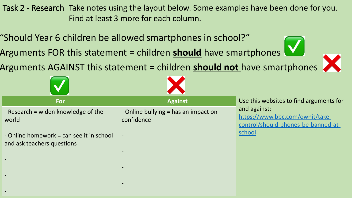Task 2 - Research Take notes using the layout below. Some examples have been done for you. "Should Year 6 children be allowed smartphones in school?" Find at least 3 more for each column.

Arguments FOR this statement = children **should** have smartphones

Arguments AGAINST this statement = children **should not** have smartphones

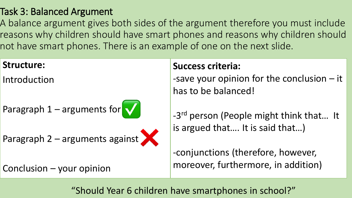# Task 3: Balanced Argument

A balance argument gives both sides of the argument therefore you must include reasons why children should have smart phones and reasons why children should not have smart phones. There is an example of one on the next slide.

## **Structure:**

Introduction

Paragraph  $1 -$  arguments for  $\sqrt{\sqrt{2}}$ 

Paragraph 2 – arguments against



Conclusion – your opinion

# **Success criteria:**

-save your opinion for the conclusion – it has to be balanced!

-3<sup>rd</sup> person (People might think that... It is argued that…. It is said that…)

-conjunctions (therefore, however, moreover, furthermore, in addition)

"Should Year 6 children have smartphones in school?"